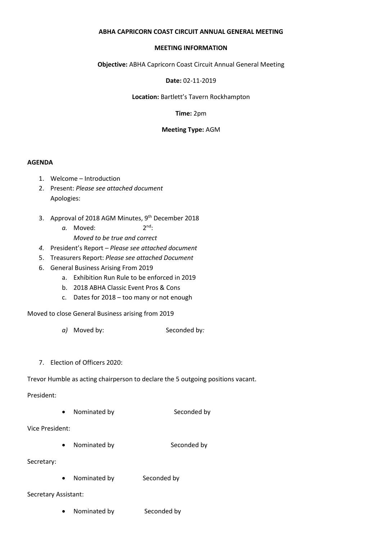### **ABHA CAPRICORN COAST CIRCUIT ANNUAL GENERAL MEETING**

#### **MEETING INFORMATION**

**Objective:** ABHA Capricorn Coast Circuit Annual General Meeting

**Date:** 02-11-2019

**Location:** Bartlett's Tavern Rockhampton

**Time:** 2pm

### **Meeting Type:** AGM

### **AGENDA**

- 1. Welcome Introduction
- 2. Present: *Please see attached document* Apologies:
- 3. Approval of 2018 AGM Minutes, 9<sup>th</sup> December 2018
	- a. Moved:  $2^{nd}$ : *Moved to be true and correct*
- *4.* President's Report *Please see attached document*
- 5. Treasurers Report: *Please see attached Document*
- 6. General Business Arising From 2019
	- a. Exhibition Run Rule to be enforced in 2019
	- b. 2018 ABHA Classic Event Pros & Cons
	- c. Dates for 2018 too many or not enough

Moved to close General Business arising from 2019

- *a)* Moved by: Seconded by*:*
- 7. Election of Officers 2020:

Trevor Humble as acting chairperson to declare the 5 outgoing positions vacant.

President:

• Nominated by Seconded by

Vice President:

Nominated by Seconded by

Secretary:

• Nominated by Seconded by

Secretary Assistant:

• Nominated by Seconded by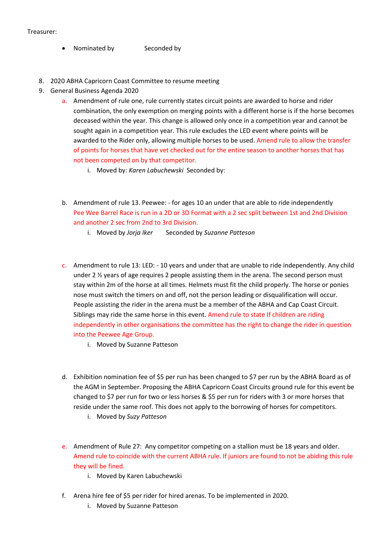- Nominated by Seconded by
- 8. 2020 ABHA Capricorn Coast Committee to resume meeting
- 9. General Business Agenda 2020
	- a. Amendment of rule one, rule currently states circuit points are awarded to horse and rider combination, the only exemption on merging points with a different horse is if the horse becomes deceased within the year. This change is allowed only once in a competition year and cannot be sought again in a competition year. This rule excludes the LED event where points will be awarded to the Rider only, allowing multiple horses to be used. Amend rule to allow the transfer of points for horses that have vet checked out for the entire season to another horses that has not been competed on by that competitor.
		- i. Moved by: *Karen Labuchewski* Seconded by:
	- b. Amendment of rule 13. Peewee: for ages 10 an under that are able to ride independently Pee Wee Barrel Race is run in a 2D or 3D Format with a 2 sec split between 1st and 2nd Division and another 2 sec from 2nd to 3rd Division.
		- i. Moved by *Jorja Iker* Seconded by *Suzanne Patteson*
	- c. Amendment to rule 13: LED: 10 years and under that are unable to ride independently. Any child under 2 ½ years of age requires 2 people assisting them in the arena. The second person must stay within 2m of the horse at all times. Helmets must fit the child properly. The horse or ponies nose must switch the timers on and off, not the person leading or disqualification will occur. People assisting the rider in the arena must be a member of the ABHA and Cap Coast Circuit. Siblings may ride the same horse in this event. Amend rule to state If children are riding independently in other organisations the committee has the right to change the rider in question into the Peewee Age Group.
		- i. Moved by Suzanne Patteson
	- d. Exhibition nomination fee of \$5 per run has been changed to \$7 per run by the ABHA Board as of the AGM in September. Proposing the ABHA Capricorn Coast Circuits ground rule for this event be changed to \$7 per run for two or less horses & \$5 per run for riders with 3 or more horses that reside under the same roof. This does not apply to the borrowing of horses for competitors.
		- i. Moved by *Suzy Patteson*
	- e. Amendment of Rule 27: Any competitor competing on a stallion must be 18 years and older. Amend rule to coincide with the current ABHA rule. If juniors are found to not be abiding this rule they will be fined.
		- i. Moved by Karen Labuchewski
	- f. Arena hire fee of \$5 per rider for hired arenas. To be implemented in 2020.
		- i. Moved by Suzanne Patteson